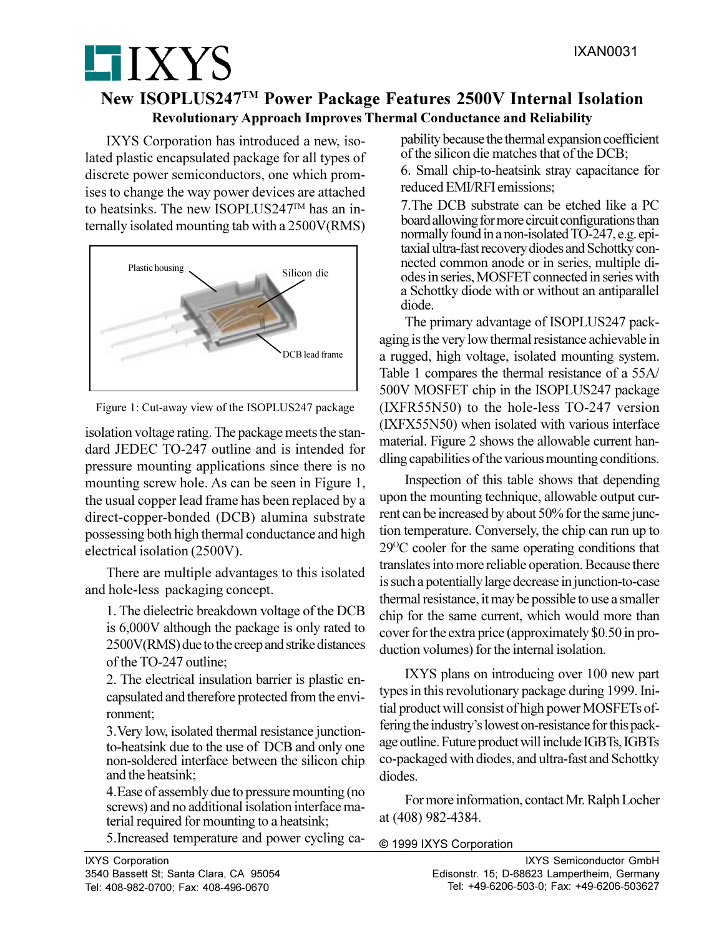## **New ISOPLUS247TM Power Package Features 2500V Internal Isolation Revolutionary Approach Improves Thermal Conductance and Reliability**

IXYS Corporation has introduced a new, isolated plastic encapsulated package for all types of discrete power semiconductors, one which promises to change the way power devices are attached to heatsinks. The new ISOPLUS247TM has an internally isolated mounting tab with a 2500V(RMS)

**HIXYS** 



Figure 1: Cut-away view of the ISOPLUS247 package

isolation voltage rating. The package meets the standard JEDEC TO-247 outline and is intended for pressure mounting applications since there is no mounting screw hole. As can be seen in Figure 1, the usual copper lead frame has been replaced by a direct-copper-bonded (DCB) alumina substrate possessing both high thermal conductance and high electrical isolation (2500V).

There are multiple advantages to this isolated and hole-less packaging concept.

1. The dielectric breakdown voltage of the DCB is 6,000V although the package is only rated to 2500V(RMS) due to the creep and strike distances of the TO-247 outline;

2. The electrical insulation barrier is plastic encapsulated and therefore protected from the environment;

3.Very low, isolated thermal resistance junctionto-heatsink due to the use of DCB and only one non-soldered interface between the silicon chip and the heatsink;

4.Ease of assembly due to pressure mounting (no screws) and no additional isolation interface material required for mounting to a heatsink;

5.Increased temperature and power cycling ca-

pability because the thermal expansion coefficient of the silicon die matches that of the DCB;

6. Small chip-to-heatsink stray capacitance for reduced EMI/RFI emissions;

7.The DCB substrate can be etched like a PC board allowing for more circuit configurations than normally found in a non-isolated TO-247, e.g. epitaxial ultra-fast recovery diodes and Schottky connected common anode or in series, multiple diodes in series, MOSFET connected in series with a Schottky diode with or without an antiparallel diode.

The primary advantage of ISOPLUS247 packaging is the very low thermal resistance achievable in a rugged, high voltage, isolated mounting system. Table 1 compares the thermal resistance of a 55A/ 500V MOSFET chip in the ISOPLUS247 package (IXFR55N50) to the hole-less TO-247 version (IXFX55N50) when isolated with various interface material. Figure 2 shows the allowable current handling capabilities of the various mounting conditions.

Inspection of this table shows that depending upon the mounting technique, allowable output current can be increased by about 50% for the same junction temperature. Conversely, the chip can run up to 29<sup>O</sup>C cooler for the same operating conditions that translates into more reliable operation. Because there is such a potentially large decrease in junction-to-case thermal resistance, it may be possible to use a smaller chip for the same current, which would more than cover for the extra price (approximately \$0.50 in production volumes) for the internal isolation.

IXYS plans on introducing over 100 new part types in this revolutionary package during 1999. Initial product will consist of high power MOSFETs offering the industry's lowest on-resistance for this package outline. Future product will include IGBTs, IGBTs co-packaged with diodes, and ultra-fast and Schottky diodes.

For more information, contact Mr. Ralph Locher at (408) 982-4384.

## **©** 1999 IXYS Corporation